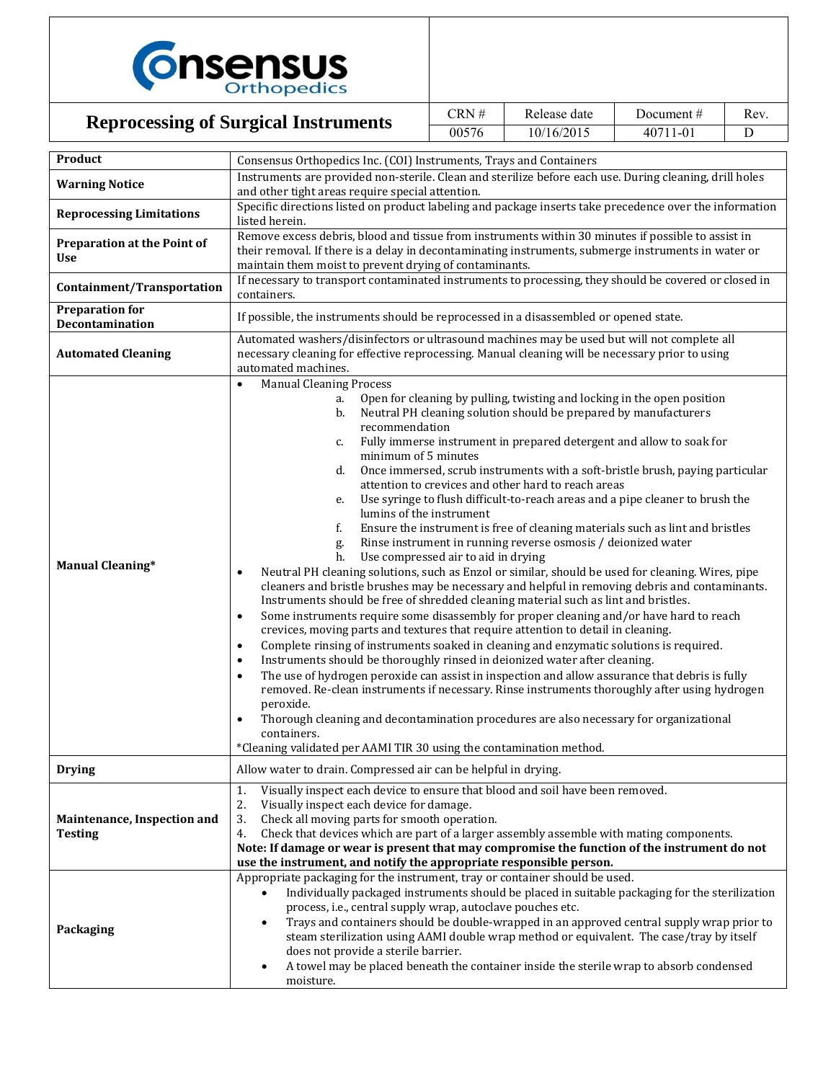

## **Reprocessing of Surgical Instruments**

| CRN#  | Release date | Document $#$ | Rev. |
|-------|--------------|--------------|------|
| 00576 | 10/16/2015   | 40711-01     |      |

| Product                                       | Consensus Orthopedics Inc. (COI) Instruments, Trays and Containers                                                                                                                |  |  |  |  |
|-----------------------------------------------|-----------------------------------------------------------------------------------------------------------------------------------------------------------------------------------|--|--|--|--|
|                                               | Instruments are provided non-sterile. Clean and sterilize before each use. During cleaning, drill holes                                                                           |  |  |  |  |
| <b>Warning Notice</b>                         | and other tight areas require special attention.                                                                                                                                  |  |  |  |  |
| <b>Reprocessing Limitations</b>               | Specific directions listed on product labeling and package inserts take precedence over the information<br>listed herein.                                                         |  |  |  |  |
| Preparation at the Point of                   | Remove excess debris, blood and tissue from instruments within 30 minutes if possible to assist in                                                                                |  |  |  |  |
| <b>Use</b>                                    | their removal. If there is a delay in decontaminating instruments, submerge instruments in water or<br>maintain them moist to prevent drying of contaminants.                     |  |  |  |  |
|                                               | If necessary to transport contaminated instruments to processing, they should be covered or closed in                                                                             |  |  |  |  |
| Containment/Transportation                    | containers.                                                                                                                                                                       |  |  |  |  |
| <b>Preparation for</b><br>Decontamination     | If possible, the instruments should be reprocessed in a disassembled or opened state.                                                                                             |  |  |  |  |
|                                               | Automated washers/disinfectors or ultrasound machines may be used but will not complete all                                                                                       |  |  |  |  |
| <b>Automated Cleaning</b>                     | necessary cleaning for effective reprocessing. Manual cleaning will be necessary prior to using                                                                                   |  |  |  |  |
|                                               | automated machines.                                                                                                                                                               |  |  |  |  |
|                                               | <b>Manual Cleaning Process</b><br>$\bullet$<br>Open for cleaning by pulling, twisting and locking in the open position<br>a.                                                      |  |  |  |  |
|                                               | Neutral PH cleaning solution should be prepared by manufacturers<br>b.                                                                                                            |  |  |  |  |
|                                               | recommendation                                                                                                                                                                    |  |  |  |  |
|                                               | Fully immerse instrument in prepared detergent and allow to soak for<br>c.                                                                                                        |  |  |  |  |
|                                               | minimum of 5 minutes                                                                                                                                                              |  |  |  |  |
|                                               | d.<br>Once immersed, scrub instruments with a soft-bristle brush, paying particular                                                                                               |  |  |  |  |
|                                               | attention to crevices and other hard to reach areas                                                                                                                               |  |  |  |  |
|                                               | Use syringe to flush difficult-to-reach areas and a pipe cleaner to brush the<br>e.<br>lumins of the instrument                                                                   |  |  |  |  |
|                                               | f.<br>Ensure the instrument is free of cleaning materials such as lint and bristles                                                                                               |  |  |  |  |
|                                               | Rinse instrument in running reverse osmosis / deionized water<br>g.                                                                                                               |  |  |  |  |
|                                               | Use compressed air to aid in drying<br>h.                                                                                                                                         |  |  |  |  |
| <b>Manual Cleaning*</b>                       | Neutral PH cleaning solutions, such as Enzol or similar, should be used for cleaning. Wires, pipe<br>$\bullet$                                                                    |  |  |  |  |
|                                               | cleaners and bristle brushes may be necessary and helpful in removing debris and contaminants.                                                                                    |  |  |  |  |
|                                               | Instruments should be free of shredded cleaning material such as lint and bristles.                                                                                               |  |  |  |  |
|                                               | Some instruments require some disassembly for proper cleaning and/or have hard to reach<br>$\bullet$                                                                              |  |  |  |  |
|                                               | crevices, moving parts and textures that require attention to detail in cleaning.<br>Complete rinsing of instruments soaked in cleaning and enzymatic solutions is required.<br>٠ |  |  |  |  |
|                                               | Instruments should be thoroughly rinsed in deionized water after cleaning.<br>$\bullet$                                                                                           |  |  |  |  |
|                                               | The use of hydrogen peroxide can assist in inspection and allow assurance that debris is fully<br>$\bullet$                                                                       |  |  |  |  |
|                                               | removed. Re-clean instruments if necessary. Rinse instruments thoroughly after using hydrogen                                                                                     |  |  |  |  |
|                                               | peroxide.                                                                                                                                                                         |  |  |  |  |
|                                               | Thorough cleaning and decontamination procedures are also necessary for organizational<br>$\bullet$                                                                               |  |  |  |  |
|                                               | containers.                                                                                                                                                                       |  |  |  |  |
|                                               | *Cleaning validated per AAMI TIR 30 using the contamination method.                                                                                                               |  |  |  |  |
| <b>Drying</b>                                 | Allow water to drain. Compressed air can be helpful in drying.                                                                                                                    |  |  |  |  |
|                                               | Visually inspect each device to ensure that blood and soil have been removed.<br>1.                                                                                               |  |  |  |  |
|                                               | 2.<br>Visually inspect each device for damage.                                                                                                                                    |  |  |  |  |
| Maintenance, Inspection and<br><b>Testing</b> | 3.<br>Check all moving parts for smooth operation.<br>4.<br>Check that devices which are part of a larger assembly assemble with mating components.                               |  |  |  |  |
|                                               | Note: If damage or wear is present that may compromise the function of the instrument do not                                                                                      |  |  |  |  |
|                                               | use the instrument, and notify the appropriate responsible person.                                                                                                                |  |  |  |  |
|                                               | Appropriate packaging for the instrument, tray or container should be used.                                                                                                       |  |  |  |  |
|                                               | Individually packaged instruments should be placed in suitable packaging for the sterilization<br>$\bullet$                                                                       |  |  |  |  |
|                                               | process, i.e., central supply wrap, autoclave pouches etc.                                                                                                                        |  |  |  |  |
| Packaging                                     | Trays and containers should be double-wrapped in an approved central supply wrap prior to<br>$\bullet$                                                                            |  |  |  |  |
|                                               | steam sterilization using AAMI double wrap method or equivalent. The case/tray by itself                                                                                          |  |  |  |  |
|                                               | does not provide a sterile barrier.<br>A towel may be placed beneath the container inside the sterile wrap to absorb condensed<br>٠                                               |  |  |  |  |
|                                               | moisture.                                                                                                                                                                         |  |  |  |  |